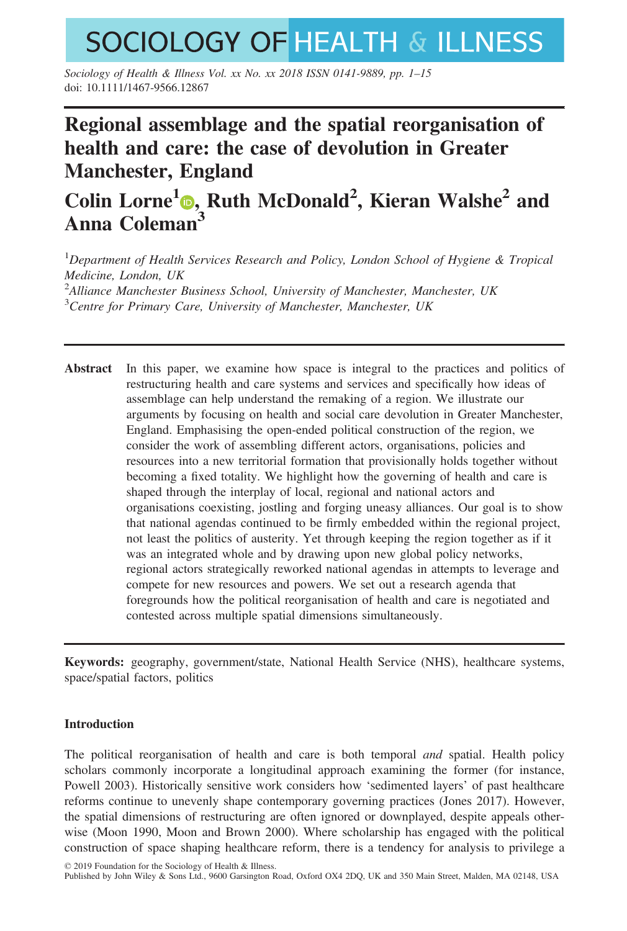# **SOCIOLOGY OF HEALTH & ILLNESS**

Sociology of Health & Illness Vol. xx No. xx 2018 ISSN 0141-9889, pp. 1–15 doi: 10.1111/1467-9566.12867

# Regional assemblage and the spatial reorganisation of health and care: the case of devolution in Greater Manchester, England

# Colin Lorne<sup>1</sup><sup>®</sup>[,](https://orcid.org/0000-0002-1000-0800) Ruth McDonald<sup>2</sup>, Kieran Walshe<sup>2</sup> and Anna Coleman<sup>3</sup>

<sup>1</sup>Department of Health Services Research and Policy, London School of Hygiene & Tropical Medicine, London, UK <sup>2</sup> Alliance Manchester Business School, University of Manchester, Manchester, UK <sup>3</sup> Centre for Primary Care, University of Manchester, Manchester, UK

Abstract In this paper, we examine how space is integral to the practices and politics of restructuring health and care systems and services and specifically how ideas of assemblage can help understand the remaking of a region. We illustrate our arguments by focusing on health and social care devolution in Greater Manchester, England. Emphasising the open-ended political construction of the region, we consider the work of assembling different actors, organisations, policies and resources into a new territorial formation that provisionally holds together without becoming a fixed totality. We highlight how the governing of health and care is shaped through the interplay of local, regional and national actors and organisations coexisting, jostling and forging uneasy alliances. Our goal is to show that national agendas continued to be firmly embedded within the regional project, not least the politics of austerity. Yet through keeping the region together as if it was an integrated whole and by drawing upon new global policy networks, regional actors strategically reworked national agendas in attempts to leverage and compete for new resources and powers. We set out a research agenda that foregrounds how the political reorganisation of health and care is negotiated and contested across multiple spatial dimensions simultaneously.

Keywords: geography, government/state, National Health Service (NHS), healthcare systems, space/spatial factors, politics

# Introduction

The political reorganisation of health and care is both temporal and spatial. Health policy scholars commonly incorporate a longitudinal approach examining the former (for instance, Powell 2003). Historically sensitive work considers how 'sedimented layers' of past healthcare reforms continue to unevenly shape contemporary governing practices (Jones 2017). However, the spatial dimensions of restructuring are often ignored or downplayed, despite appeals otherwise (Moon 1990, Moon and Brown 2000). Where scholarship has engaged with the political construction of space shaping healthcare reform, there is a tendency for analysis to privilege a

© 2019 Foundation for the Sociology of Health & Illness.

Published by John Wiley & Sons Ltd., 9600 Garsington Road, Oxford OX4 2DQ, UK and 350 Main Street, Malden, MA 02148, USA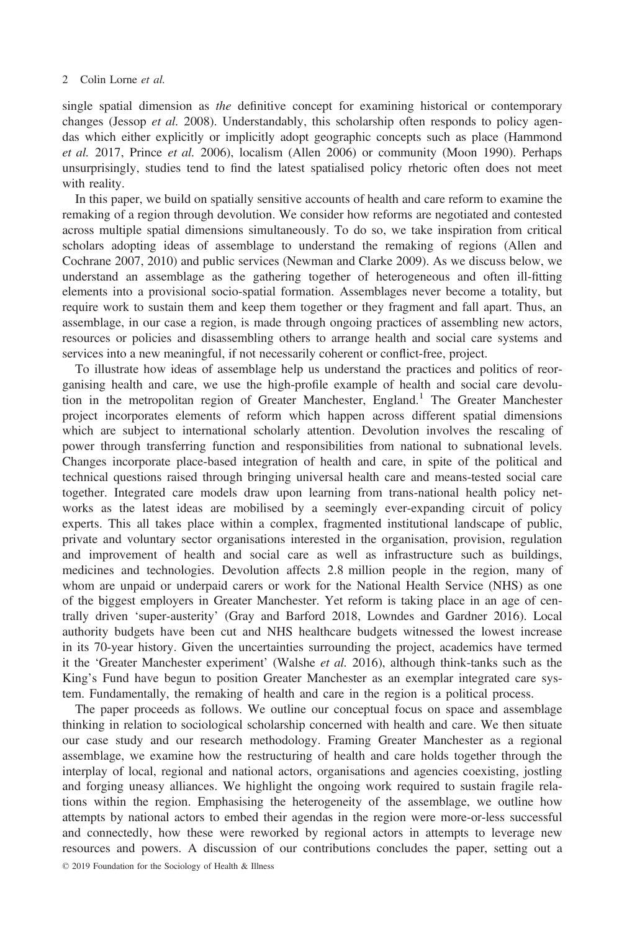single spatial dimension as the definitive concept for examining historical or contemporary changes (Jessop et al. 2008). Understandably, this scholarship often responds to policy agendas which either explicitly or implicitly adopt geographic concepts such as place (Hammond et al. 2017, Prince et al. 2006), localism (Allen 2006) or community (Moon 1990). Perhaps unsurprisingly, studies tend to find the latest spatialised policy rhetoric often does not meet with reality.

In this paper, we build on spatially sensitive accounts of health and care reform to examine the remaking of a region through devolution. We consider how reforms are negotiated and contested across multiple spatial dimensions simultaneously. To do so, we take inspiration from critical scholars adopting ideas of assemblage to understand the remaking of regions (Allen and Cochrane 2007, 2010) and public services (Newman and Clarke 2009). As we discuss below, we understand an assemblage as the gathering together of heterogeneous and often ill-fitting elements into a provisional socio-spatial formation. Assemblages never become a totality, but require work to sustain them and keep them together or they fragment and fall apart. Thus, an assemblage, in our case a region, is made through ongoing practices of assembling new actors, resources or policies and disassembling others to arrange health and social care systems and services into a new meaningful, if not necessarily coherent or conflict-free, project.

To illustrate how ideas of assemblage help us understand the practices and politics of reorganising health and care, we use the high-profile example of health and social care devolution in the metropolitan region of Greater Manchester, England.<sup>1</sup> The Greater Manchester project incorporates elements of reform which happen across different spatial dimensions which are subject to international scholarly attention. Devolution involves the rescaling of power through transferring function and responsibilities from national to subnational levels. Changes incorporate place-based integration of health and care, in spite of the political and technical questions raised through bringing universal health care and means-tested social care together. Integrated care models draw upon learning from trans-national health policy networks as the latest ideas are mobilised by a seemingly ever-expanding circuit of policy experts. This all takes place within a complex, fragmented institutional landscape of public, private and voluntary sector organisations interested in the organisation, provision, regulation and improvement of health and social care as well as infrastructure such as buildings, medicines and technologies. Devolution affects 2.8 million people in the region, many of whom are unpaid or underpaid carers or work for the National Health Service (NHS) as one of the biggest employers in Greater Manchester. Yet reform is taking place in an age of centrally driven 'super-austerity' (Gray and Barford 2018, Lowndes and Gardner 2016). Local authority budgets have been cut and NHS healthcare budgets witnessed the lowest increase in its 70-year history. Given the uncertainties surrounding the project, academics have termed it the 'Greater Manchester experiment' (Walshe et al. 2016), although think-tanks such as the King's Fund have begun to position Greater Manchester as an exemplar integrated care system. Fundamentally, the remaking of health and care in the region is a political process.

The paper proceeds as follows. We outline our conceptual focus on space and assemblage thinking in relation to sociological scholarship concerned with health and care. We then situate our case study and our research methodology. Framing Greater Manchester as a regional assemblage, we examine how the restructuring of health and care holds together through the interplay of local, regional and national actors, organisations and agencies coexisting, jostling and forging uneasy alliances. We highlight the ongoing work required to sustain fragile relations within the region. Emphasising the heterogeneity of the assemblage, we outline how attempts by national actors to embed their agendas in the region were more-or-less successful and connectedly, how these were reworked by regional actors in attempts to leverage new resources and powers. A discussion of our contributions concludes the paper, setting out a © 2019 Foundation for the Sociology of Health & Illness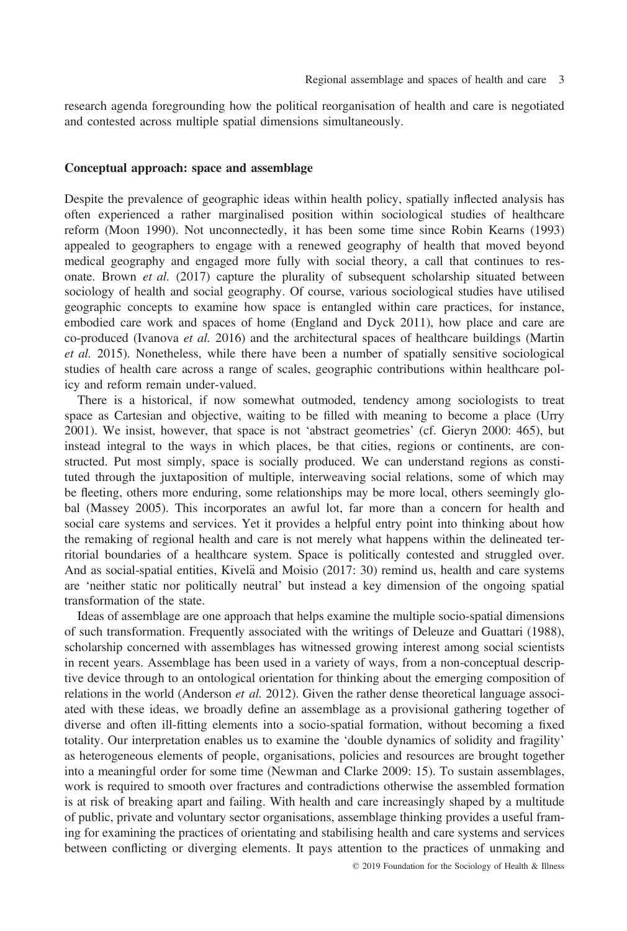research agenda foregrounding how the political reorganisation of health and care is negotiated and contested across multiple spatial dimensions simultaneously.

# Conceptual approach: space and assemblage

Despite the prevalence of geographic ideas within health policy, spatially inflected analysis has often experienced a rather marginalised position within sociological studies of healthcare reform (Moon 1990). Not unconnectedly, it has been some time since Robin Kearns (1993) appealed to geographers to engage with a renewed geography of health that moved beyond medical geography and engaged more fully with social theory, a call that continues to resonate. Brown et al. (2017) capture the plurality of subsequent scholarship situated between sociology of health and social geography. Of course, various sociological studies have utilised geographic concepts to examine how space is entangled within care practices, for instance, embodied care work and spaces of home (England and Dyck 2011), how place and care are co-produced (Ivanova et al. 2016) and the architectural spaces of healthcare buildings (Martin et al. 2015). Nonetheless, while there have been a number of spatially sensitive sociological studies of health care across a range of scales, geographic contributions within healthcare policy and reform remain under-valued.

There is a historical, if now somewhat outmoded, tendency among sociologists to treat space as Cartesian and objective, waiting to be filled with meaning to become a place (Urry 2001). We insist, however, that space is not 'abstract geometries' (cf. Gieryn 2000: 465), but instead integral to the ways in which places, be that cities, regions or continents, are constructed. Put most simply, space is socially produced. We can understand regions as constituted through the juxtaposition of multiple, interweaving social relations, some of which may be fleeting, others more enduring, some relationships may be more local, others seemingly global (Massey 2005). This incorporates an awful lot, far more than a concern for health and social care systems and services. Yet it provides a helpful entry point into thinking about how the remaking of regional health and care is not merely what happens within the delineated territorial boundaries of a healthcare system. Space is politically contested and struggled over. And as social-spatial entities, Kivelä and Moisio (2017: 30) remind us, health and care systems are 'neither static nor politically neutral' but instead a key dimension of the ongoing spatial transformation of the state.

Ideas of assemblage are one approach that helps examine the multiple socio-spatial dimensions of such transformation. Frequently associated with the writings of Deleuze and Guattari (1988), scholarship concerned with assemblages has witnessed growing interest among social scientists in recent years. Assemblage has been used in a variety of ways, from a non-conceptual descriptive device through to an ontological orientation for thinking about the emerging composition of relations in the world (Anderson *et al.* 2012). Given the rather dense theoretical language associated with these ideas, we broadly define an assemblage as a provisional gathering together of diverse and often ill-fitting elements into a socio-spatial formation, without becoming a fixed totality. Our interpretation enables us to examine the 'double dynamics of solidity and fragility' as heterogeneous elements of people, organisations, policies and resources are brought together into a meaningful order for some time (Newman and Clarke 2009: 15). To sustain assemblages, work is required to smooth over fractures and contradictions otherwise the assembled formation is at risk of breaking apart and failing. With health and care increasingly shaped by a multitude of public, private and voluntary sector organisations, assemblage thinking provides a useful framing for examining the practices of orientating and stabilising health and care systems and services between conflicting or diverging elements. It pays attention to the practices of unmaking and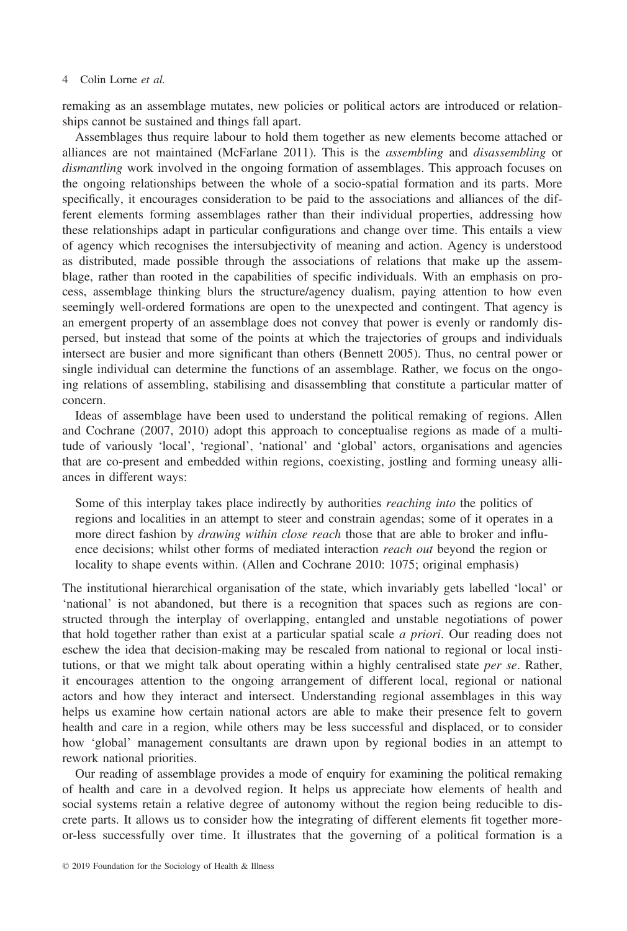remaking as an assemblage mutates, new policies or political actors are introduced or relationships cannot be sustained and things fall apart.

Assemblages thus require labour to hold them together as new elements become attached or alliances are not maintained (McFarlane 2011). This is the assembling and disassembling or dismantling work involved in the ongoing formation of assemblages. This approach focuses on the ongoing relationships between the whole of a socio-spatial formation and its parts. More specifically, it encourages consideration to be paid to the associations and alliances of the different elements forming assemblages rather than their individual properties, addressing how these relationships adapt in particular configurations and change over time. This entails a view of agency which recognises the intersubjectivity of meaning and action. Agency is understood as distributed, made possible through the associations of relations that make up the assemblage, rather than rooted in the capabilities of specific individuals. With an emphasis on process, assemblage thinking blurs the structure/agency dualism, paying attention to how even seemingly well-ordered formations are open to the unexpected and contingent. That agency is an emergent property of an assemblage does not convey that power is evenly or randomly dispersed, but instead that some of the points at which the trajectories of groups and individuals intersect are busier and more significant than others (Bennett 2005). Thus, no central power or single individual can determine the functions of an assemblage. Rather, we focus on the ongoing relations of assembling, stabilising and disassembling that constitute a particular matter of concern.

Ideas of assemblage have been used to understand the political remaking of regions. Allen and Cochrane (2007, 2010) adopt this approach to conceptualise regions as made of a multitude of variously 'local', 'regional', 'national' and 'global' actors, organisations and agencies that are co-present and embedded within regions, coexisting, jostling and forming uneasy alliances in different ways:

Some of this interplay takes place indirectly by authorities reaching into the politics of regions and localities in an attempt to steer and constrain agendas; some of it operates in a more direct fashion by *drawing within close reach* those that are able to broker and influence decisions; whilst other forms of mediated interaction *reach out* beyond the region or locality to shape events within. (Allen and Cochrane 2010: 1075; original emphasis)

The institutional hierarchical organisation of the state, which invariably gets labelled 'local' or 'national' is not abandoned, but there is a recognition that spaces such as regions are constructed through the interplay of overlapping, entangled and unstable negotiations of power that hold together rather than exist at a particular spatial scale a priori. Our reading does not eschew the idea that decision-making may be rescaled from national to regional or local institutions, or that we might talk about operating within a highly centralised state *per se*. Rather, it encourages attention to the ongoing arrangement of different local, regional or national actors and how they interact and intersect. Understanding regional assemblages in this way helps us examine how certain national actors are able to make their presence felt to govern health and care in a region, while others may be less successful and displaced, or to consider how 'global' management consultants are drawn upon by regional bodies in an attempt to rework national priorities.

Our reading of assemblage provides a mode of enquiry for examining the political remaking of health and care in a devolved region. It helps us appreciate how elements of health and social systems retain a relative degree of autonomy without the region being reducible to discrete parts. It allows us to consider how the integrating of different elements fit together moreor-less successfully over time. It illustrates that the governing of a political formation is a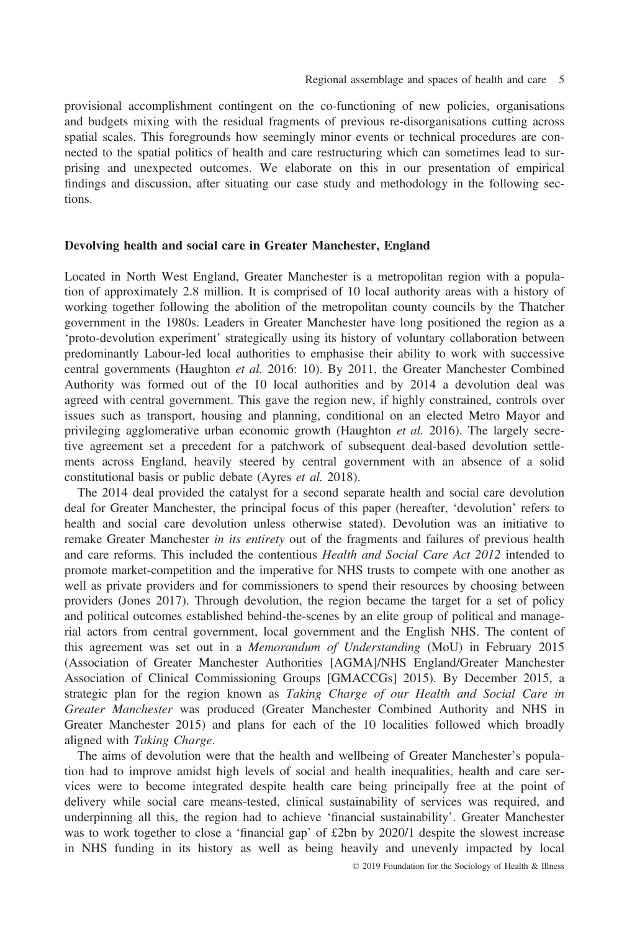provisional accomplishment contingent on the co-functioning of new policies, organisations and budgets mixing with the residual fragments of previous re-disorganisations cutting across spatial scales. This foregrounds how seemingly minor events or technical procedures are connected to the spatial politics of health and care restructuring which can sometimes lead to surprising and unexpected outcomes. We elaborate on this in our presentation of empirical findings and discussion, after situating our case study and methodology in the following sections.

#### Devolving health and social care in Greater Manchester, England

Located in North West England, Greater Manchester is a metropolitan region with a population of approximately 2.8 million. It is comprised of 10 local authority areas with a history of working together following the abolition of the metropolitan county councils by the Thatcher government in the 1980s. Leaders in Greater Manchester have long positioned the region as a 'proto-devolution experiment' strategically using its history of voluntary collaboration between predominantly Labour-led local authorities to emphasise their ability to work with successive central governments (Haughton et al. 2016: 10). By 2011, the Greater Manchester Combined Authority was formed out of the 10 local authorities and by 2014 a devolution deal was agreed with central government. This gave the region new, if highly constrained, controls over issues such as transport, housing and planning, conditional on an elected Metro Mayor and privileging agglomerative urban economic growth (Haughton *et al.* 2016). The largely secretive agreement set a precedent for a patchwork of subsequent deal-based devolution settlements across England, heavily steered by central government with an absence of a solid constitutional basis or public debate (Ayres et al. 2018).

The 2014 deal provided the catalyst for a second separate health and social care devolution deal for Greater Manchester, the principal focus of this paper (hereafter, 'devolution' refers to health and social care devolution unless otherwise stated). Devolution was an initiative to remake Greater Manchester in its entirety out of the fragments and failures of previous health and care reforms. This included the contentious *Health and Social Care Act 2012* intended to promote market-competition and the imperative for NHS trusts to compete with one another as well as private providers and for commissioners to spend their resources by choosing between providers (Jones 2017). Through devolution, the region became the target for a set of policy and political outcomes established behind-the-scenes by an elite group of political and managerial actors from central government, local government and the English NHS. The content of this agreement was set out in a Memorandum of Understanding (MoU) in February 2015 (Association of Greater Manchester Authorities [AGMA]/NHS England/Greater Manchester Association of Clinical Commissioning Groups [GMACCGs] 2015). By December 2015, a strategic plan for the region known as Taking Charge of our Health and Social Care in Greater Manchester was produced (Greater Manchester Combined Authority and NHS in Greater Manchester 2015) and plans for each of the 10 localities followed which broadly aligned with Taking Charge.

The aims of devolution were that the health and wellbeing of Greater Manchester's population had to improve amidst high levels of social and health inequalities, health and care services were to become integrated despite health care being principally free at the point of delivery while social care means-tested, clinical sustainability of services was required, and underpinning all this, the region had to achieve 'financial sustainability'. Greater Manchester was to work together to close a 'financial gap' of £2bn by 2020/1 despite the slowest increase in NHS funding in its history as well as being heavily and unevenly impacted by local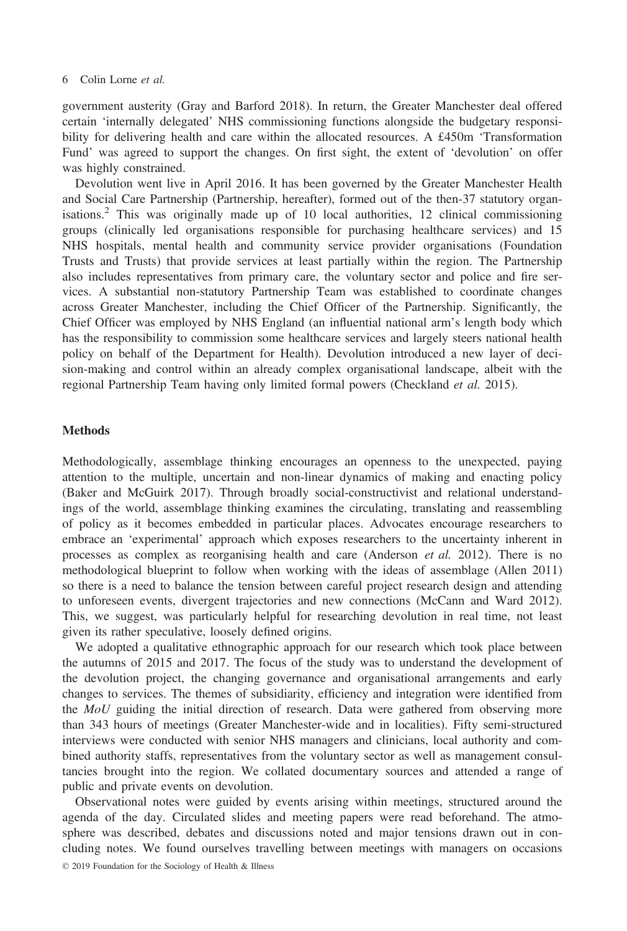government austerity (Gray and Barford 2018). In return, the Greater Manchester deal offered certain 'internally delegated' NHS commissioning functions alongside the budgetary responsibility for delivering health and care within the allocated resources. A £450m 'Transformation Fund' was agreed to support the changes. On first sight, the extent of 'devolution' on offer was highly constrained.

Devolution went live in April 2016. It has been governed by the Greater Manchester Health and Social Care Partnership (Partnership, hereafter), formed out of the then-37 statutory organisations.<sup>2</sup> This was originally made up of 10 local authorities, 12 clinical commissioning groups (clinically led organisations responsible for purchasing healthcare services) and 15 NHS hospitals, mental health and community service provider organisations (Foundation Trusts and Trusts) that provide services at least partially within the region. The Partnership also includes representatives from primary care, the voluntary sector and police and fire services. A substantial non-statutory Partnership Team was established to coordinate changes across Greater Manchester, including the Chief Officer of the Partnership. Significantly, the Chief Officer was employed by NHS England (an influential national arm's length body which has the responsibility to commission some healthcare services and largely steers national health policy on behalf of the Department for Health). Devolution introduced a new layer of decision-making and control within an already complex organisational landscape, albeit with the regional Partnership Team having only limited formal powers (Checkland *et al.* 2015).

# Methods

Methodologically, assemblage thinking encourages an openness to the unexpected, paying attention to the multiple, uncertain and non-linear dynamics of making and enacting policy (Baker and McGuirk 2017). Through broadly social-constructivist and relational understandings of the world, assemblage thinking examines the circulating, translating and reassembling of policy as it becomes embedded in particular places. Advocates encourage researchers to embrace an 'experimental' approach which exposes researchers to the uncertainty inherent in processes as complex as reorganising health and care (Anderson et al. 2012). There is no methodological blueprint to follow when working with the ideas of assemblage (Allen 2011) so there is a need to balance the tension between careful project research design and attending to unforeseen events, divergent trajectories and new connections (McCann and Ward 2012). This, we suggest, was particularly helpful for researching devolution in real time, not least given its rather speculative, loosely defined origins.

We adopted a qualitative ethnographic approach for our research which took place between the autumns of 2015 and 2017. The focus of the study was to understand the development of the devolution project, the changing governance and organisational arrangements and early changes to services. The themes of subsidiarity, efficiency and integration were identified from the MoU guiding the initial direction of research. Data were gathered from observing more than 343 hours of meetings (Greater Manchester-wide and in localities). Fifty semi-structured interviews were conducted with senior NHS managers and clinicians, local authority and combined authority staffs, representatives from the voluntary sector as well as management consultancies brought into the region. We collated documentary sources and attended a range of public and private events on devolution.

Observational notes were guided by events arising within meetings, structured around the agenda of the day. Circulated slides and meeting papers were read beforehand. The atmosphere was described, debates and discussions noted and major tensions drawn out in concluding notes. We found ourselves travelling between meetings with managers on occasions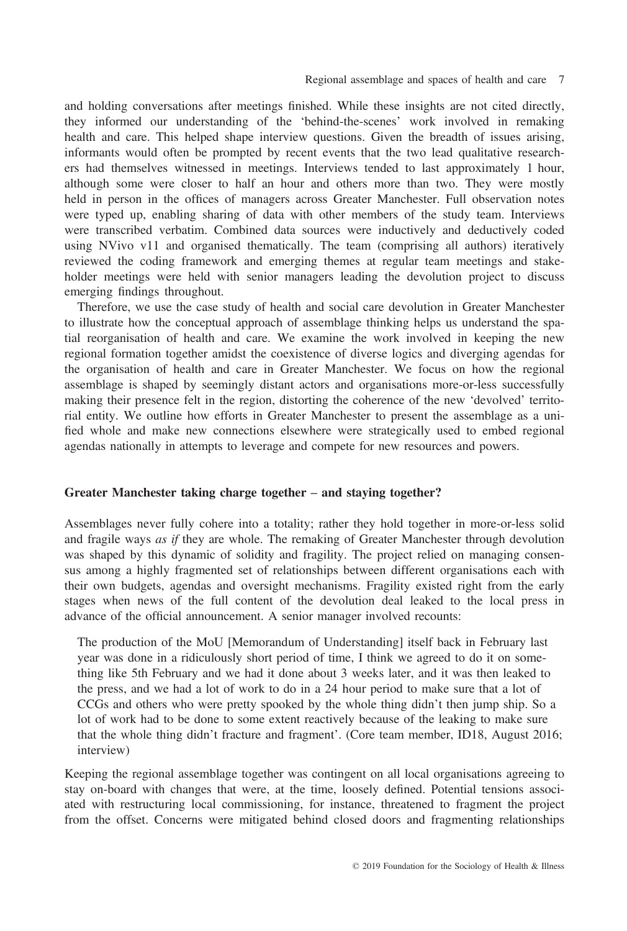and holding conversations after meetings finished. While these insights are not cited directly, they informed our understanding of the 'behind-the-scenes' work involved in remaking health and care. This helped shape interview questions. Given the breadth of issues arising, informants would often be prompted by recent events that the two lead qualitative researchers had themselves witnessed in meetings. Interviews tended to last approximately 1 hour, although some were closer to half an hour and others more than two. They were mostly held in person in the offices of managers across Greater Manchester. Full observation notes were typed up, enabling sharing of data with other members of the study team. Interviews were transcribed verbatim. Combined data sources were inductively and deductively coded using NVivo v11 and organised thematically. The team (comprising all authors) iteratively reviewed the coding framework and emerging themes at regular team meetings and stakeholder meetings were held with senior managers leading the devolution project to discuss emerging findings throughout.

Therefore, we use the case study of health and social care devolution in Greater Manchester to illustrate how the conceptual approach of assemblage thinking helps us understand the spatial reorganisation of health and care. We examine the work involved in keeping the new regional formation together amidst the coexistence of diverse logics and diverging agendas for the organisation of health and care in Greater Manchester. We focus on how the regional assemblage is shaped by seemingly distant actors and organisations more-or-less successfully making their presence felt in the region, distorting the coherence of the new 'devolved' territorial entity. We outline how efforts in Greater Manchester to present the assemblage as a unified whole and make new connections elsewhere were strategically used to embed regional agendas nationally in attempts to leverage and compete for new resources and powers.

# Greater Manchester taking charge together – and staying together?

Assemblages never fully cohere into a totality; rather they hold together in more-or-less solid and fragile ways *as if* they are whole. The remaking of Greater Manchester through devolution was shaped by this dynamic of solidity and fragility. The project relied on managing consensus among a highly fragmented set of relationships between different organisations each with their own budgets, agendas and oversight mechanisms. Fragility existed right from the early stages when news of the full content of the devolution deal leaked to the local press in advance of the official announcement. A senior manager involved recounts:

The production of the MoU [Memorandum of Understanding] itself back in February last year was done in a ridiculously short period of time, I think we agreed to do it on something like 5th February and we had it done about 3 weeks later, and it was then leaked to the press, and we had a lot of work to do in a 24 hour period to make sure that a lot of CCGs and others who were pretty spooked by the whole thing didn't then jump ship. So a lot of work had to be done to some extent reactively because of the leaking to make sure that the whole thing didn't fracture and fragment'. (Core team member, ID18, August 2016; interview)

Keeping the regional assemblage together was contingent on all local organisations agreeing to stay on-board with changes that were, at the time, loosely defined. Potential tensions associated with restructuring local commissioning, for instance, threatened to fragment the project from the offset. Concerns were mitigated behind closed doors and fragmenting relationships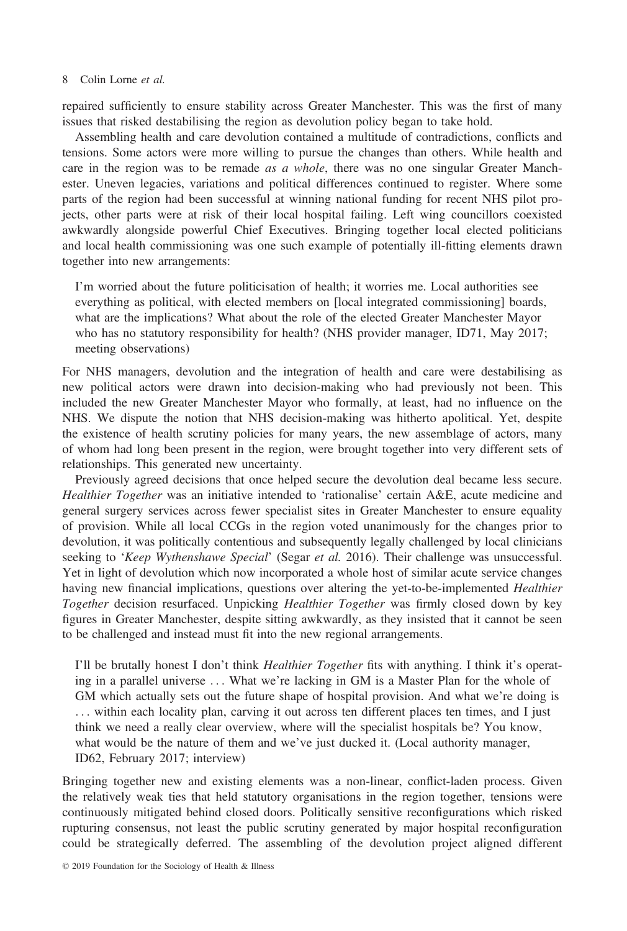repaired sufficiently to ensure stability across Greater Manchester. This was the first of many issues that risked destabilising the region as devolution policy began to take hold.

Assembling health and care devolution contained a multitude of contradictions, conflicts and tensions. Some actors were more willing to pursue the changes than others. While health and care in the region was to be remade *as a whole*, there was no one singular Greater Manchester. Uneven legacies, variations and political differences continued to register. Where some parts of the region had been successful at winning national funding for recent NHS pilot projects, other parts were at risk of their local hospital failing. Left wing councillors coexisted awkwardly alongside powerful Chief Executives. Bringing together local elected politicians and local health commissioning was one such example of potentially ill-fitting elements drawn together into new arrangements:

I'm worried about the future politicisation of health; it worries me. Local authorities see everything as political, with elected members on [local integrated commissioning] boards, what are the implications? What about the role of the elected Greater Manchester Mayor who has no statutory responsibility for health? (NHS provider manager, ID71, May 2017; meeting observations)

For NHS managers, devolution and the integration of health and care were destabilising as new political actors were drawn into decision-making who had previously not been. This included the new Greater Manchester Mayor who formally, at least, had no influence on the NHS. We dispute the notion that NHS decision-making was hitherto apolitical. Yet, despite the existence of health scrutiny policies for many years, the new assemblage of actors, many of whom had long been present in the region, were brought together into very different sets of relationships. This generated new uncertainty.

Previously agreed decisions that once helped secure the devolution deal became less secure. Healthier Together was an initiative intended to 'rationalise' certain A&E, acute medicine and general surgery services across fewer specialist sites in Greater Manchester to ensure equality of provision. While all local CCGs in the region voted unanimously for the changes prior to devolution, it was politically contentious and subsequently legally challenged by local clinicians seeking to 'Keep Wythenshawe Special' (Segar et al. 2016). Their challenge was unsuccessful. Yet in light of devolution which now incorporated a whole host of similar acute service changes having new financial implications, questions over altering the yet-to-be-implemented *Healthier* Together decision resurfaced. Unpicking *Healthier Together* was firmly closed down by key figures in Greater Manchester, despite sitting awkwardly, as they insisted that it cannot be seen to be challenged and instead must fit into the new regional arrangements.

I'll be brutally honest I don't think Healthier Together fits with anything. I think it's operating in a parallel universe ... What we're lacking in GM is a Master Plan for the whole of GM which actually sets out the future shape of hospital provision. And what we're doing is ... within each locality plan, carving it out across ten different places ten times, and I just think we need a really clear overview, where will the specialist hospitals be? You know, what would be the nature of them and we've just ducked it. (Local authority manager, ID62, February 2017; interview)

Bringing together new and existing elements was a non-linear, conflict-laden process. Given the relatively weak ties that held statutory organisations in the region together, tensions were continuously mitigated behind closed doors. Politically sensitive reconfigurations which risked rupturing consensus, not least the public scrutiny generated by major hospital reconfiguration could be strategically deferred. The assembling of the devolution project aligned different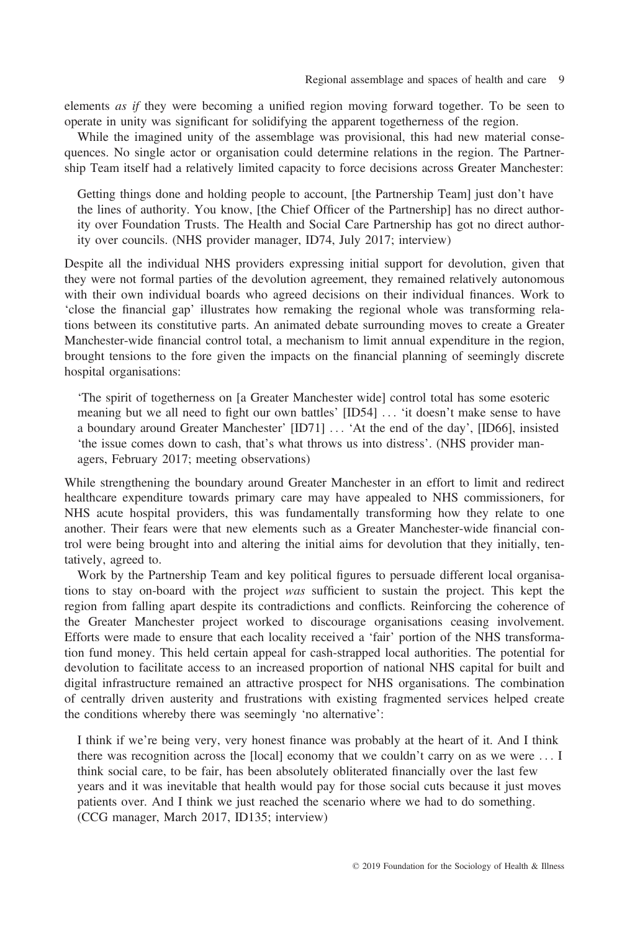elements as if they were becoming a unified region moving forward together. To be seen to operate in unity was significant for solidifying the apparent togetherness of the region.

While the imagined unity of the assemblage was provisional, this had new material consequences. No single actor or organisation could determine relations in the region. The Partnership Team itself had a relatively limited capacity to force decisions across Greater Manchester:

Getting things done and holding people to account, [the Partnership Team] just don't have the lines of authority. You know, [the Chief Officer of the Partnership] has no direct authority over Foundation Trusts. The Health and Social Care Partnership has got no direct authority over councils. (NHS provider manager, ID74, July 2017; interview)

Despite all the individual NHS providers expressing initial support for devolution, given that they were not formal parties of the devolution agreement, they remained relatively autonomous with their own individual boards who agreed decisions on their individual finances. Work to 'close the financial gap' illustrates how remaking the regional whole was transforming relations between its constitutive parts. An animated debate surrounding moves to create a Greater Manchester-wide financial control total, a mechanism to limit annual expenditure in the region, brought tensions to the fore given the impacts on the financial planning of seemingly discrete hospital organisations:

'The spirit of togetherness on [a Greater Manchester wide] control total has some esoteric meaning but we all need to fight our own battles' [ID54] ... 'it doesn't make sense to have a boundary around Greater Manchester' [ID71] ... 'At the end of the day', [ID66], insisted 'the issue comes down to cash, that's what throws us into distress'. (NHS provider managers, February 2017; meeting observations)

While strengthening the boundary around Greater Manchester in an effort to limit and redirect healthcare expenditure towards primary care may have appealed to NHS commissioners, for NHS acute hospital providers, this was fundamentally transforming how they relate to one another. Their fears were that new elements such as a Greater Manchester-wide financial control were being brought into and altering the initial aims for devolution that they initially, tentatively, agreed to.

Work by the Partnership Team and key political figures to persuade different local organisations to stay on-board with the project was sufficient to sustain the project. This kept the region from falling apart despite its contradictions and conflicts. Reinforcing the coherence of the Greater Manchester project worked to discourage organisations ceasing involvement. Efforts were made to ensure that each locality received a 'fair' portion of the NHS transformation fund money. This held certain appeal for cash-strapped local authorities. The potential for devolution to facilitate access to an increased proportion of national NHS capital for built and digital infrastructure remained an attractive prospect for NHS organisations. The combination of centrally driven austerity and frustrations with existing fragmented services helped create the conditions whereby there was seemingly 'no alternative':

I think if we're being very, very honest finance was probably at the heart of it. And I think there was recognition across the [local] economy that we couldn't carry on as we were ... I think social care, to be fair, has been absolutely obliterated financially over the last few years and it was inevitable that health would pay for those social cuts because it just moves patients over. And I think we just reached the scenario where we had to do something. (CCG manager, March 2017, ID135; interview)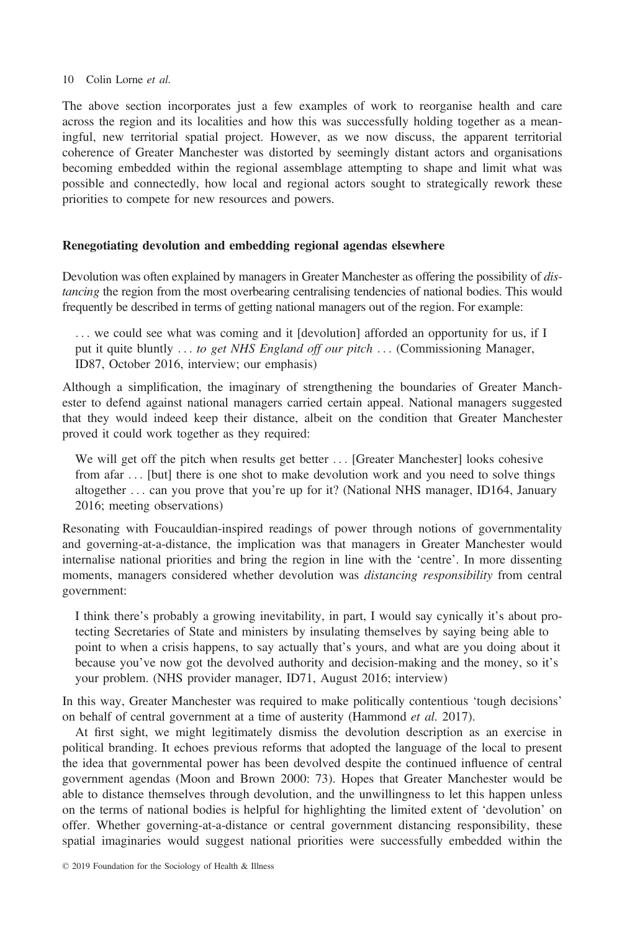The above section incorporates just a few examples of work to reorganise health and care across the region and its localities and how this was successfully holding together as a meaningful, new territorial spatial project. However, as we now discuss, the apparent territorial coherence of Greater Manchester was distorted by seemingly distant actors and organisations becoming embedded within the regional assemblage attempting to shape and limit what was possible and connectedly, how local and regional actors sought to strategically rework these priorities to compete for new resources and powers.

# Renegotiating devolution and embedding regional agendas elsewhere

Devolution was often explained by managers in Greater Manchester as offering the possibility of distancing the region from the most overbearing centralising tendencies of national bodies. This would frequently be described in terms of getting national managers out of the region. For example:

... we could see what was coming and it [devolution] afforded an opportunity for us, if I put it quite bluntly ... to get NHS England off our pitch ... (Commissioning Manager, ID87, October 2016, interview; our emphasis)

Although a simplification, the imaginary of strengthening the boundaries of Greater Manchester to defend against national managers carried certain appeal. National managers suggested that they would indeed keep their distance, albeit on the condition that Greater Manchester proved it could work together as they required:

We will get off the pitch when results get better ... [Greater Manchester] looks cohesive from afar ... [but] there is one shot to make devolution work and you need to solve things altogether ... can you prove that you're up for it? (National NHS manager, ID164, January 2016; meeting observations)

Resonating with Foucauldian-inspired readings of power through notions of governmentality and governing-at-a-distance, the implication was that managers in Greater Manchester would internalise national priorities and bring the region in line with the 'centre'. In more dissenting moments, managers considered whether devolution was *distancing responsibility* from central government:

I think there's probably a growing inevitability, in part, I would say cynically it's about protecting Secretaries of State and ministers by insulating themselves by saying being able to point to when a crisis happens, to say actually that's yours, and what are you doing about it because you've now got the devolved authority and decision-making and the money, so it's your problem. (NHS provider manager, ID71, August 2016; interview)

In this way, Greater Manchester was required to make politically contentious 'tough decisions' on behalf of central government at a time of austerity (Hammond et al. 2017).

At first sight, we might legitimately dismiss the devolution description as an exercise in political branding. It echoes previous reforms that adopted the language of the local to present the idea that governmental power has been devolved despite the continued influence of central government agendas (Moon and Brown 2000: 73). Hopes that Greater Manchester would be able to distance themselves through devolution, and the unwillingness to let this happen unless on the terms of national bodies is helpful for highlighting the limited extent of 'devolution' on offer. Whether governing-at-a-distance or central government distancing responsibility, these spatial imaginaries would suggest national priorities were successfully embedded within the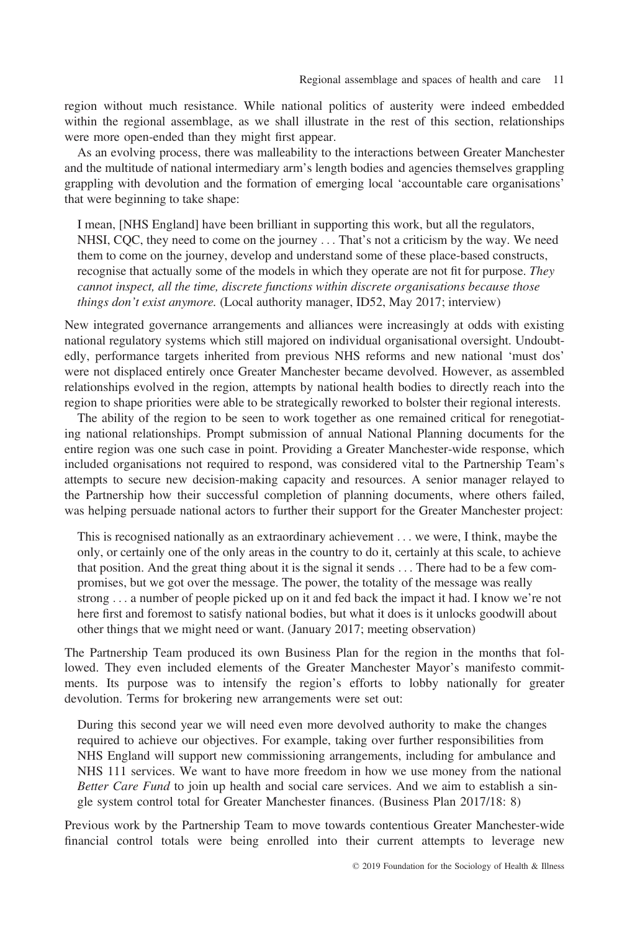region without much resistance. While national politics of austerity were indeed embedded within the regional assemblage, as we shall illustrate in the rest of this section, relationships were more open-ended than they might first appear.

As an evolving process, there was malleability to the interactions between Greater Manchester and the multitude of national intermediary arm's length bodies and agencies themselves grappling grappling with devolution and the formation of emerging local 'accountable care organisations' that were beginning to take shape:

I mean, [NHS England] have been brilliant in supporting this work, but all the regulators, NHSI, CQC, they need to come on the journey ... That's not a criticism by the way. We need them to come on the journey, develop and understand some of these place-based constructs, recognise that actually some of the models in which they operate are not fit for purpose. They cannot inspect, all the time, discrete functions within discrete organisations because those things don't exist anymore. (Local authority manager, ID52, May 2017; interview)

New integrated governance arrangements and alliances were increasingly at odds with existing national regulatory systems which still majored on individual organisational oversight. Undoubtedly, performance targets inherited from previous NHS reforms and new national 'must dos' were not displaced entirely once Greater Manchester became devolved. However, as assembled relationships evolved in the region, attempts by national health bodies to directly reach into the region to shape priorities were able to be strategically reworked to bolster their regional interests.

The ability of the region to be seen to work together as one remained critical for renegotiating national relationships. Prompt submission of annual National Planning documents for the entire region was one such case in point. Providing a Greater Manchester-wide response, which included organisations not required to respond, was considered vital to the Partnership Team's attempts to secure new decision-making capacity and resources. A senior manager relayed to the Partnership how their successful completion of planning documents, where others failed, was helping persuade national actors to further their support for the Greater Manchester project:

This is recognised nationally as an extraordinary achievement ... we were, I think, maybe the only, or certainly one of the only areas in the country to do it, certainly at this scale, to achieve that position. And the great thing about it is the signal it sends ... There had to be a few compromises, but we got over the message. The power, the totality of the message was really strong ... a number of people picked up on it and fed back the impact it had. I know we're not here first and foremost to satisfy national bodies, but what it does is it unlocks goodwill about other things that we might need or want. (January 2017; meeting observation)

The Partnership Team produced its own Business Plan for the region in the months that followed. They even included elements of the Greater Manchester Mayor's manifesto commitments. Its purpose was to intensify the region's efforts to lobby nationally for greater devolution. Terms for brokering new arrangements were set out:

During this second year we will need even more devolved authority to make the changes required to achieve our objectives. For example, taking over further responsibilities from NHS England will support new commissioning arrangements, including for ambulance and NHS 111 services. We want to have more freedom in how we use money from the national Better Care Fund to join up health and social care services. And we aim to establish a single system control total for Greater Manchester finances. (Business Plan 2017/18: 8)

Previous work by the Partnership Team to move towards contentious Greater Manchester-wide financial control totals were being enrolled into their current attempts to leverage new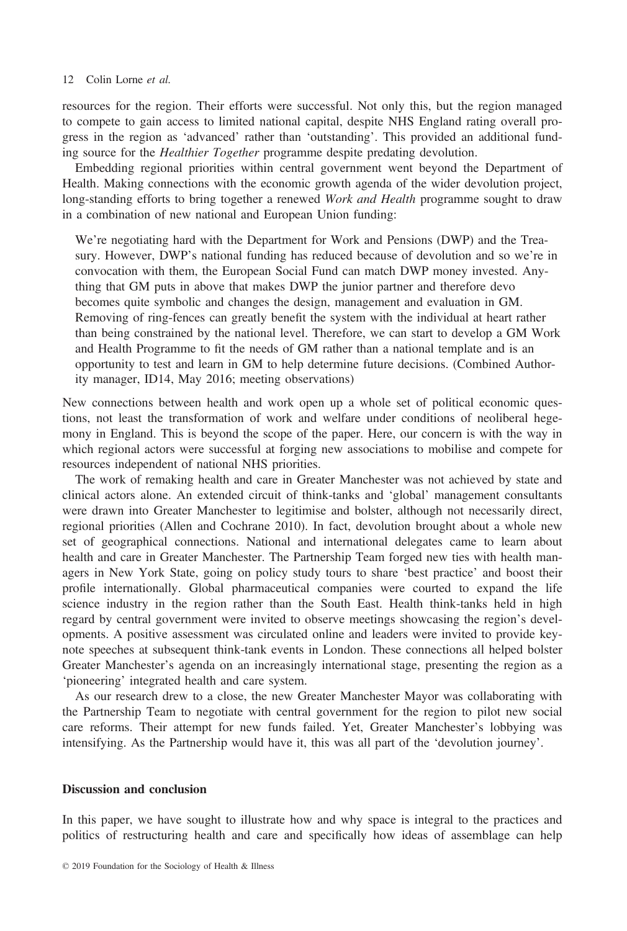resources for the region. Their efforts were successful. Not only this, but the region managed to compete to gain access to limited national capital, despite NHS England rating overall progress in the region as 'advanced' rather than 'outstanding'. This provided an additional funding source for the Healthier Together programme despite predating devolution.

Embedding regional priorities within central government went beyond the Department of Health. Making connections with the economic growth agenda of the wider devolution project, long-standing efforts to bring together a renewed Work and Health programme sought to draw in a combination of new national and European Union funding:

We're negotiating hard with the Department for Work and Pensions (DWP) and the Treasury. However, DWP's national funding has reduced because of devolution and so we're in convocation with them, the European Social Fund can match DWP money invested. Anything that GM puts in above that makes DWP the junior partner and therefore devo becomes quite symbolic and changes the design, management and evaluation in GM. Removing of ring-fences can greatly benefit the system with the individual at heart rather than being constrained by the national level. Therefore, we can start to develop a GM Work and Health Programme to fit the needs of GM rather than a national template and is an opportunity to test and learn in GM to help determine future decisions. (Combined Authority manager, ID14, May 2016; meeting observations)

New connections between health and work open up a whole set of political economic questions, not least the transformation of work and welfare under conditions of neoliberal hegemony in England. This is beyond the scope of the paper. Here, our concern is with the way in which regional actors were successful at forging new associations to mobilise and compete for resources independent of national NHS priorities.

The work of remaking health and care in Greater Manchester was not achieved by state and clinical actors alone. An extended circuit of think-tanks and 'global' management consultants were drawn into Greater Manchester to legitimise and bolster, although not necessarily direct, regional priorities (Allen and Cochrane 2010). In fact, devolution brought about a whole new set of geographical connections. National and international delegates came to learn about health and care in Greater Manchester. The Partnership Team forged new ties with health managers in New York State, going on policy study tours to share 'best practice' and boost their profile internationally. Global pharmaceutical companies were courted to expand the life science industry in the region rather than the South East. Health think-tanks held in high regard by central government were invited to observe meetings showcasing the region's developments. A positive assessment was circulated online and leaders were invited to provide keynote speeches at subsequent think-tank events in London. These connections all helped bolster Greater Manchester's agenda on an increasingly international stage, presenting the region as a 'pioneering' integrated health and care system.

As our research drew to a close, the new Greater Manchester Mayor was collaborating with the Partnership Team to negotiate with central government for the region to pilot new social care reforms. Their attempt for new funds failed. Yet, Greater Manchester's lobbying was intensifying. As the Partnership would have it, this was all part of the 'devolution journey'.

# Discussion and conclusion

In this paper, we have sought to illustrate how and why space is integral to the practices and politics of restructuring health and care and specifically how ideas of assemblage can help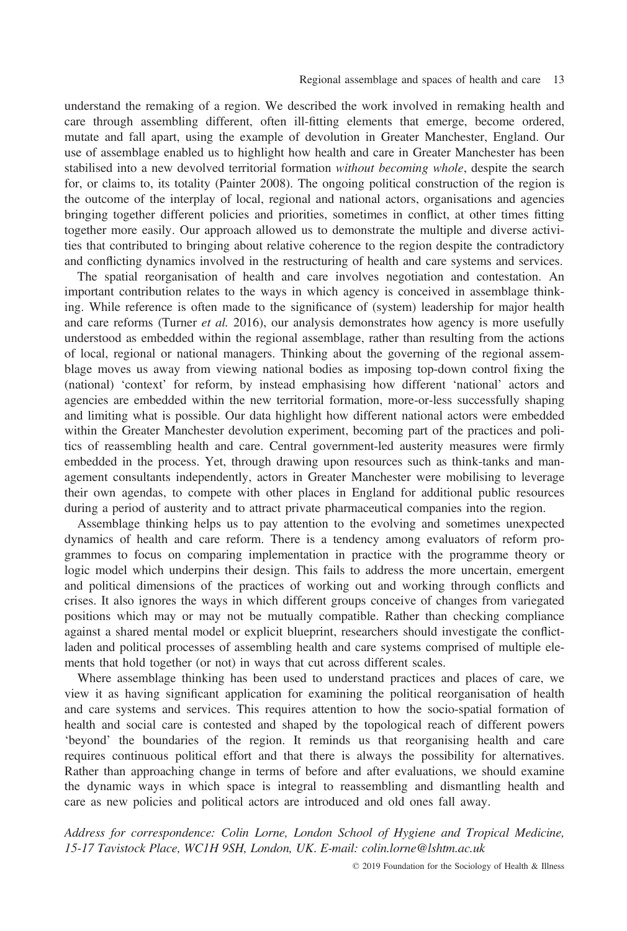understand the remaking of a region. We described the work involved in remaking health and care through assembling different, often ill-fitting elements that emerge, become ordered, mutate and fall apart, using the example of devolution in Greater Manchester, England. Our use of assemblage enabled us to highlight how health and care in Greater Manchester has been stabilised into a new devolved territorial formation without becoming whole, despite the search for, or claims to, its totality (Painter 2008). The ongoing political construction of the region is the outcome of the interplay of local, regional and national actors, organisations and agencies bringing together different policies and priorities, sometimes in conflict, at other times fitting together more easily. Our approach allowed us to demonstrate the multiple and diverse activities that contributed to bringing about relative coherence to the region despite the contradictory and conflicting dynamics involved in the restructuring of health and care systems and services.

The spatial reorganisation of health and care involves negotiation and contestation. An important contribution relates to the ways in which agency is conceived in assemblage thinking. While reference is often made to the significance of (system) leadership for major health and care reforms (Turner et al. 2016), our analysis demonstrates how agency is more usefully understood as embedded within the regional assemblage, rather than resulting from the actions of local, regional or national managers. Thinking about the governing of the regional assemblage moves us away from viewing national bodies as imposing top-down control fixing the (national) 'context' for reform, by instead emphasising how different 'national' actors and agencies are embedded within the new territorial formation, more-or-less successfully shaping and limiting what is possible. Our data highlight how different national actors were embedded within the Greater Manchester devolution experiment, becoming part of the practices and politics of reassembling health and care. Central government-led austerity measures were firmly embedded in the process. Yet, through drawing upon resources such as think-tanks and management consultants independently, actors in Greater Manchester were mobilising to leverage their own agendas, to compete with other places in England for additional public resources during a period of austerity and to attract private pharmaceutical companies into the region.

Assemblage thinking helps us to pay attention to the evolving and sometimes unexpected dynamics of health and care reform. There is a tendency among evaluators of reform programmes to focus on comparing implementation in practice with the programme theory or logic model which underpins their design. This fails to address the more uncertain, emergent and political dimensions of the practices of working out and working through conflicts and crises. It also ignores the ways in which different groups conceive of changes from variegated positions which may or may not be mutually compatible. Rather than checking compliance against a shared mental model or explicit blueprint, researchers should investigate the conflictladen and political processes of assembling health and care systems comprised of multiple elements that hold together (or not) in ways that cut across different scales.

Where assemblage thinking has been used to understand practices and places of care, we view it as having significant application for examining the political reorganisation of health and care systems and services. This requires attention to how the socio-spatial formation of health and social care is contested and shaped by the topological reach of different powers 'beyond' the boundaries of the region. It reminds us that reorganising health and care requires continuous political effort and that there is always the possibility for alternatives. Rather than approaching change in terms of before and after evaluations, we should examine the dynamic ways in which space is integral to reassembling and dismantling health and care as new policies and political actors are introduced and old ones fall away.

Address for correspondence: Colin Lorne, London School of Hygiene and Tropical Medicine, 15-17 Tavistock Place, WC1H 9SH, London, UK. E-mail: [colin.lorne@lshtm.ac.uk](mailto:)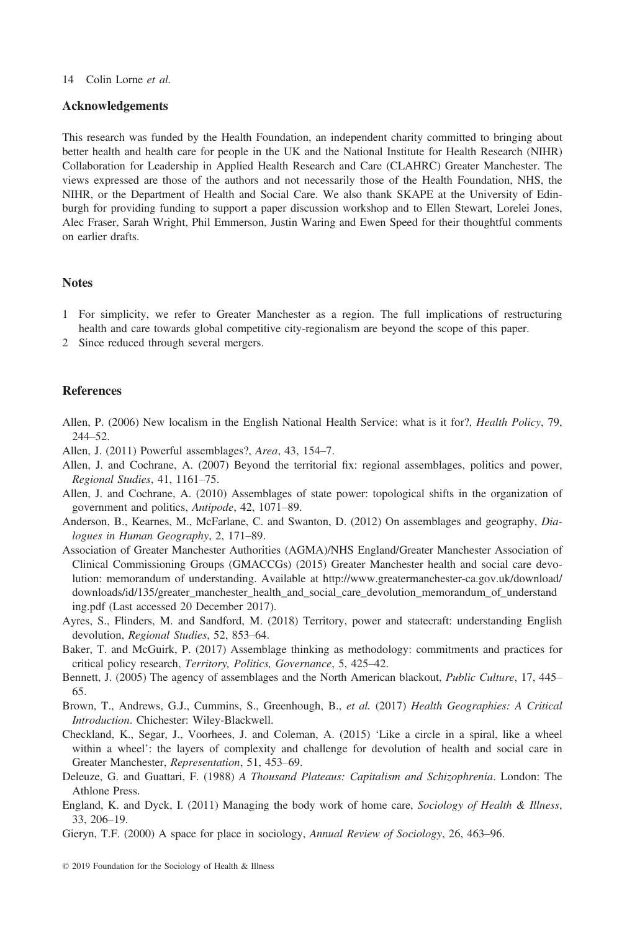# Acknowledgements

This research was funded by the Health Foundation, an independent charity committed to bringing about better health and health care for people in the UK and the National Institute for Health Research (NIHR) Collaboration for Leadership in Applied Health Research and Care (CLAHRC) Greater Manchester. The views expressed are those of the authors and not necessarily those of the Health Foundation, NHS, the NIHR, or the Department of Health and Social Care. We also thank SKAPE at the University of Edinburgh for providing funding to support a paper discussion workshop and to Ellen Stewart, Lorelei Jones, Alec Fraser, Sarah Wright, Phil Emmerson, Justin Waring and Ewen Speed for their thoughtful comments on earlier drafts.

# Notes

- 1 For simplicity, we refer to Greater Manchester as a region. The full implications of restructuring health and care towards global competitive city-regionalism are beyond the scope of this paper.
- 2 Since reduced through several mergers.

### References

- Allen, P. (2006) New localism in the English National Health Service: what is it for?, Health Policy, 79, 244–52.
- Allen, J. (2011) Powerful assemblages?, Area, 43, 154–7.
- Allen, J. and Cochrane, A. (2007) Beyond the territorial fix: regional assemblages, politics and power, Regional Studies, 41, 1161–75.
- Allen, J. and Cochrane, A. (2010) Assemblages of state power: topological shifts in the organization of government and politics, Antipode, 42, 1071–89.
- Anderson, B., Kearnes, M., McFarlane, C. and Swanton, D. (2012) On assemblages and geography, Dialogues in Human Geography, 2, 171–89.
- Association of Greater Manchester Authorities (AGMA)/NHS England/Greater Manchester Association of Clinical Commissioning Groups (GMACCGs) (2015) Greater Manchester health and social care devolution: memorandum of understanding. Available at [http://www.greatermanchester-ca.gov.uk/download/](http://www.greatermanchester-ca.gov.uk/download/downloads/id/135/greater_manchester_health_and_social_care_devolution_memorandum_of_understanding.pdf) [downloads/id/135/greater\\_manchester\\_health\\_and\\_social\\_care\\_devolution\\_memorandum\\_of\\_understand](http://www.greatermanchester-ca.gov.uk/download/downloads/id/135/greater_manchester_health_and_social_care_devolution_memorandum_of_understanding.pdf) [ing.pdf](http://www.greatermanchester-ca.gov.uk/download/downloads/id/135/greater_manchester_health_and_social_care_devolution_memorandum_of_understanding.pdf) (Last accessed 20 December 2017).
- Ayres, S., Flinders, M. and Sandford, M. (2018) Territory, power and statecraft: understanding English devolution, Regional Studies, 52, 853–64.
- Baker, T. and McGuirk, P. (2017) Assemblage thinking as methodology: commitments and practices for critical policy research, Territory, Politics, Governance, 5, 425–42.
- Bennett, J. (2005) The agency of assemblages and the North American blackout, Public Culture, 17, 445– 65.
- Brown, T., Andrews, G.J., Cummins, S., Greenhough, B., et al. (2017) Health Geographies: A Critical Introduction. Chichester: Wiley-Blackwell.
- Checkland, K., Segar, J., Voorhees, J. and Coleman, A. (2015) 'Like a circle in a spiral, like a wheel within a wheel': the layers of complexity and challenge for devolution of health and social care in Greater Manchester, Representation, 51, 453–69.
- Deleuze, G. and Guattari, F. (1988) A Thousand Plateaus: Capitalism and Schizophrenia. London: The Athlone Press.
- England, K. and Dyck, I. (2011) Managing the body work of home care, Sociology of Health & Illness, 33, 206–19.
- Gieryn, T.F. (2000) A space for place in sociology, Annual Review of Sociology, 26, 463–96.